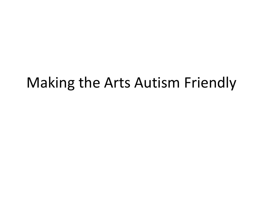#### Making the Arts Autism Friendly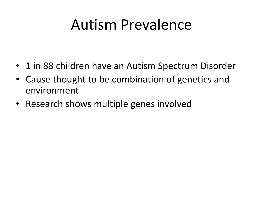### Autism Prevalence

- 1 in 88 children have an Autism Spectrum Disorder
- Cause thought to be combination of genetics and environment
- Research shows multiple genes involved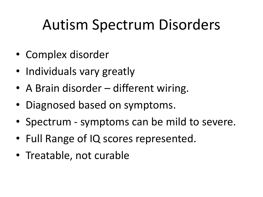## Autism Spectrum Disorders

- Complex disorder
- Individuals vary greatly
- A Brain disorder different wiring.
- Diagnosed based on symptoms.
- Spectrum symptoms can be mild to severe.
- Full Range of IQ scores represented.
- Treatable, not curable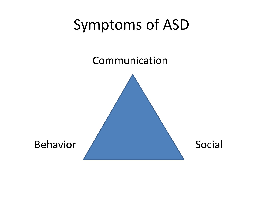### Symptoms of ASD

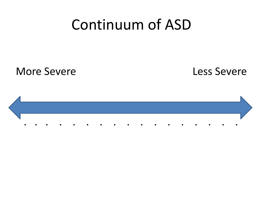#### Continuum of ASD

More Severe Less Severe

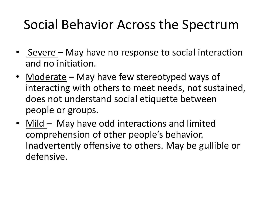#### Social Behavior Across the Spectrum

- Severe May have no response to social interaction and no initiation.
- Moderate May have few stereotyped ways of interacting with others to meet needs, not sustained, does not understand social etiquette between people or groups.
- Mild May have odd interactions and limited comprehension of other people's behavior. Inadvertently offensive to others. May be gullible or defensive.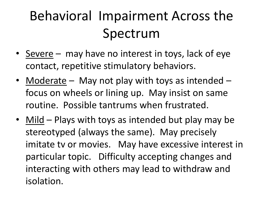## Behavioral Impairment Across the Spectrum

- Severe may have no interest in toys, lack of eye contact, repetitive stimulatory behaviors.
- Moderate May not play with toys as intended focus on wheels or lining up. May insist on same routine. Possible tantrums when frustrated.
- Mild Plays with toys as intended but play may be stereotyped (always the same). May precisely imitate tv or movies. May have excessive interest in particular topic. Difficulty accepting changes and interacting with others may lead to withdraw and isolation.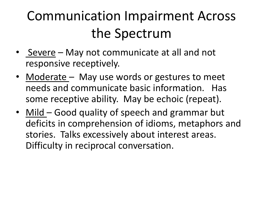## Communication Impairment Across the Spectrum

- Severe May not communicate at all and not responsive receptively.
- Moderate May use words or gestures to meet needs and communicate basic information. Has some receptive ability. May be echoic (repeat).
- Mild Good quality of speech and grammar but deficits in comprehension of idioms, metaphors and stories. Talks excessively about interest areas. Difficulty in reciprocal conversation.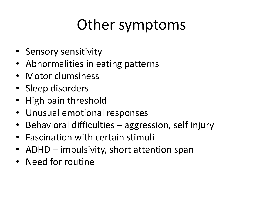## Other symptoms

- Sensory sensitivity
- Abnormalities in eating patterns
- Motor clumsiness
- Sleep disorders
- High pain threshold
- Unusual emotional responses
- Behavioral difficulties aggression, self injury
- Fascination with certain stimuli
- ADHD impulsivity, short attention span
- Need for routine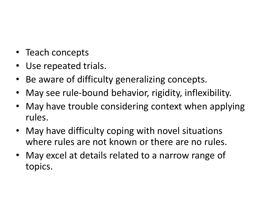- Teach concepts
- Use repeated trials.
- Be aware of difficulty generalizing concepts.
- May see rule-bound behavior, rigidity, inflexibility.
- May have trouble considering context when applying rules.
- May have difficulty coping with novel situations where rules are not known or there are no rules.
- May excel at details related to a narrow range of topics.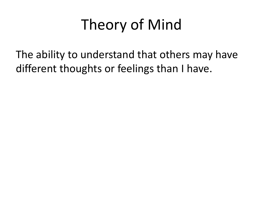## Theory of Mind

The ability to understand that others may have different thoughts or feelings than I have.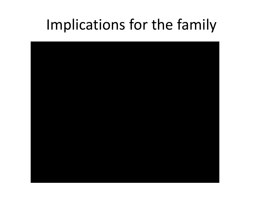#### Implications for the family

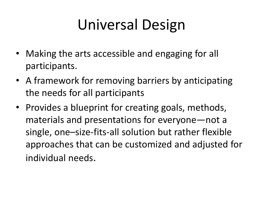## Universal Design

- Making the arts accessible and engaging for all participants.
- A framework for removing barriers by anticipating the needs for all participants
- Provides a blueprint for creating goals, methods, materials and presentations for everyone—not a single, one–size-fits-all solution but rather flexible approaches that can be customized and adjusted for individual needs.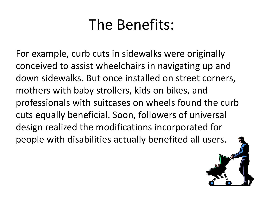### The Benefits:

For example, curb cuts in sidewalks were originally conceived to assist wheelchairs in navigating up and down sidewalks. But once installed on street corners, mothers with baby strollers, kids on bikes, and professionals with suitcases on wheels found the curb cuts equally beneficial. Soon, followers of universal design realized the modifications incorporated for people with disabilities actually benefited all users.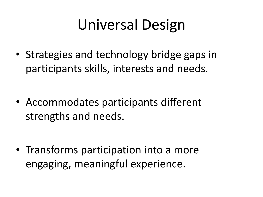## Universal Design

• Strategies and technology bridge gaps in participants skills, interests and needs.

• Accommodates participants different strengths and needs.

• Transforms participation into a more engaging, meaningful experience.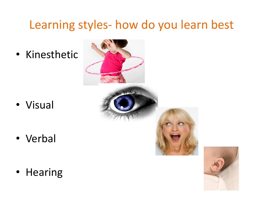#### Learning styles- how do you learn best

• Kinesthetic

• Visual

• Verbal

• Hearing

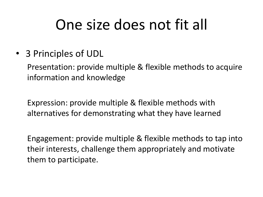## One size does not fit all

• 3 Principles of UDL

Presentation: provide multiple & flexible methods to acquire information and knowledge

Expression: provide multiple & flexible methods with alternatives for demonstrating what they have learned

Engagement: provide multiple & flexible methods to tap into their interests, challenge them appropriately and motivate them to participate.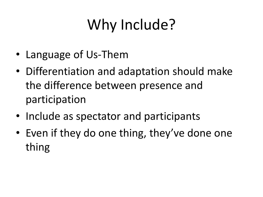# Why Include?

- Language of Us-Them
- Differentiation and adaptation should make the difference between presence and participation
- Include as spectator and participants
- Even if they do one thing, they've done one thing